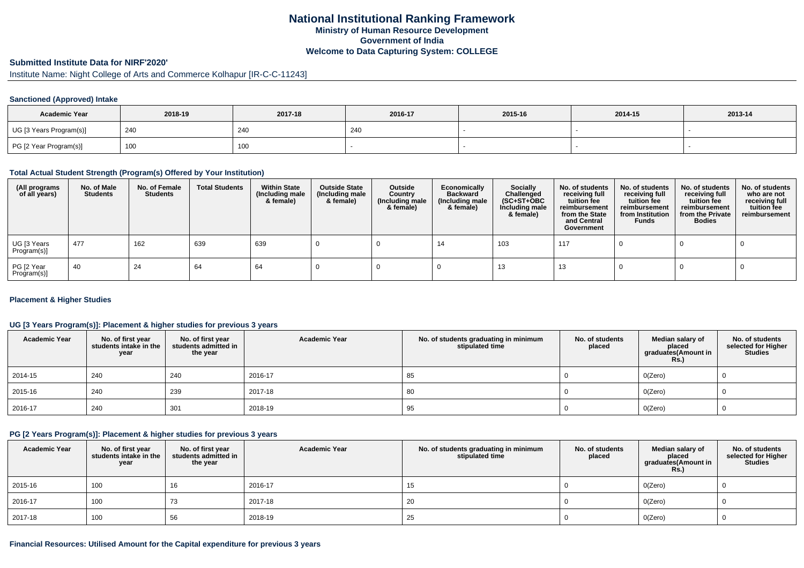# **National Institutional Ranking FrameworkMinistry of Human Resource DevelopmentGovernment of IndiaWelcome to Data Capturing System: COLLEGE**

### **Submitted Institute Data for NIRF'2020'**

# Institute Name: Night College of Arts and Commerce Kolhapur [IR-C-C-11243]

#### **Sanctioned (Approved) Intake**

| <b>Academic Year</b>    | 2018-19 | 2017-18 | 2016-17    | 2015-16 | 2014-15 | 2013-14 |
|-------------------------|---------|---------|------------|---------|---------|---------|
| UG [3 Years Program(s)] | 240     | 240     | <b>240</b> |         |         |         |
| PG [2 Year Program(s)]  | 100     | 100     |            |         |         |         |

#### **Total Actual Student Strength (Program(s) Offered by Your Institution)**

| (All programs<br>of all years) | No. of Male<br><b>Students</b> | No. of Female<br><b>Students</b> | <b>Total Students</b> | <b>Within State</b><br>(Including male<br>& female) | <b>Outside State</b><br>(Including male<br>& female) | Outside<br>Country<br>(Including male<br>& female) | Economically<br><b>Backward</b><br>(Including male<br>& female) | <b>Socially</b><br>Challenged<br>$(SC+ST+OBC)$<br>Including male<br>& female) | No. of students<br>receiving full<br>tuition fee<br>reimbursement<br>from the State<br>and Central<br>Government | No. of students<br>receiving full<br>tuition fee<br>reimbursement<br>from Institution<br><b>Funds</b> | No. of students<br>receiving full<br>tuition fee<br>reimbursement<br>from the Private<br><b>Bodies</b> | No. of students<br>who are not<br>receiving full<br>tuition fee<br>reimbursement |
|--------------------------------|--------------------------------|----------------------------------|-----------------------|-----------------------------------------------------|------------------------------------------------------|----------------------------------------------------|-----------------------------------------------------------------|-------------------------------------------------------------------------------|------------------------------------------------------------------------------------------------------------------|-------------------------------------------------------------------------------------------------------|--------------------------------------------------------------------------------------------------------|----------------------------------------------------------------------------------|
| UG [3 Years<br>Program(s)]     | 477                            | 162                              | 639                   | 639                                                 |                                                      |                                                    | 14                                                              | 103                                                                           | 117                                                                                                              |                                                                                                       |                                                                                                        |                                                                                  |
| PG [2 Year<br>Program(s)]      | -40                            | 24                               | 64                    | 64                                                  |                                                      |                                                    |                                                                 | 13                                                                            | 13                                                                                                               |                                                                                                       |                                                                                                        |                                                                                  |

#### **Placement & Higher Studies**

### **UG [3 Years Program(s)]: Placement & higher studies for previous 3 years**

| <b>Academic Year</b> | No. of first year<br>students intake in the<br>year | No. of first year<br>students admitted in<br>the year | <b>Academic Year</b> | No. of students graduating in minimum<br>stipulated time | No. of students<br>placed | Median salary of<br>placed<br>graduates(Amount in<br><b>Rs.)</b> | No. of students<br>selected for Higher<br><b>Studies</b> |
|----------------------|-----------------------------------------------------|-------------------------------------------------------|----------------------|----------------------------------------------------------|---------------------------|------------------------------------------------------------------|----------------------------------------------------------|
| 2014-15              | 240                                                 | 240                                                   | 2016-17              | 85                                                       |                           | O(Zero)                                                          |                                                          |
| 2015-16              | 240                                                 | 239                                                   | 2017-18              | 80                                                       |                           | O(Zero)                                                          |                                                          |
| 2016-17              | 240                                                 | 301                                                   | 2018-19              | 95                                                       |                           | O(Zero)                                                          |                                                          |

#### **PG [2 Years Program(s)]: Placement & higher studies for previous 3 years**

| <b>Academic Year</b> | No. of first year students intake in the<br>year | No. of first year<br>students admitted in<br>the year | <b>Academic Year</b> | No. of students graduating in minimum<br>stipulated time | No. of students<br>placed | Median salary of<br>placed<br>graduates(Amount in<br><b>Rs.)</b> | No. of students<br>selected for Higher<br><b>Studies</b> |
|----------------------|--------------------------------------------------|-------------------------------------------------------|----------------------|----------------------------------------------------------|---------------------------|------------------------------------------------------------------|----------------------------------------------------------|
| 2015-16              | 100                                              | 16                                                    | 2016-17              | 15                                                       |                           | O(Zero)                                                          |                                                          |
| 2016-17              | 100                                              | 73                                                    | 2017-18              | 20                                                       |                           | O(Zero)                                                          |                                                          |
| 2017-18              | 100                                              | 56                                                    | 2018-19              | 25                                                       |                           | O(Zero)                                                          |                                                          |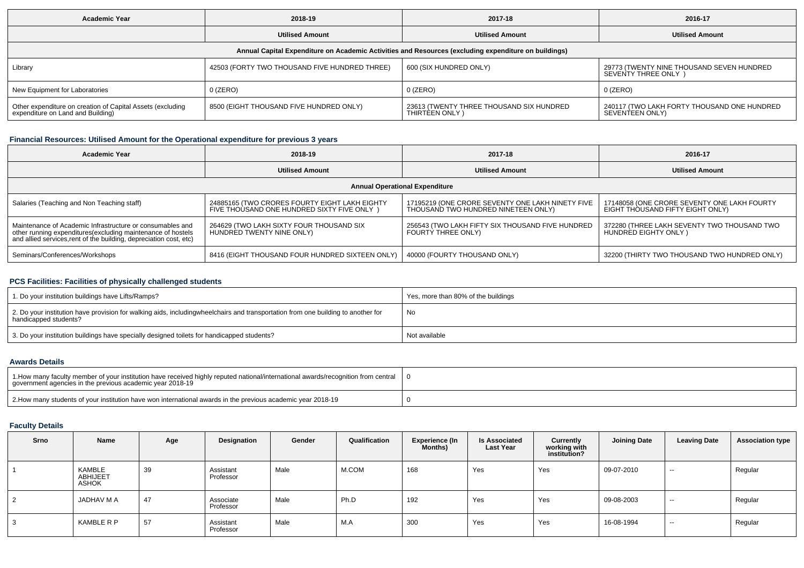| <b>Academic Year</b>                                                                                 | 2018-19                                       | 2017-18                                                    | 2016-17                                                         |  |  |  |  |  |  |
|------------------------------------------------------------------------------------------------------|-----------------------------------------------|------------------------------------------------------------|-----------------------------------------------------------------|--|--|--|--|--|--|
|                                                                                                      | <b>Utilised Amount</b>                        | <b>Utilised Amount</b>                                     | <b>Utilised Amount</b>                                          |  |  |  |  |  |  |
| Annual Capital Expenditure on Academic Activities and Resources (excluding expenditure on buildings) |                                               |                                                            |                                                                 |  |  |  |  |  |  |
| Library                                                                                              | 42503 (FORTY TWO THOUSAND FIVE HUNDRED THREE) | 600 (SIX HUNDRED ONLY)                                     | 29773 (TWENTY NINE THOUSAND SEVEN HUNDRED<br>SEVENTY THREE ONLY |  |  |  |  |  |  |
| New Equipment for Laboratories                                                                       | $0$ (ZERO)                                    | 0 (ZERO)                                                   | 0 (ZERO)                                                        |  |  |  |  |  |  |
| Other expenditure on creation of Capital Assets (excluding<br>expenditure on Land and Building)      | 8500 (EIGHT THOUSAND FIVE HUNDRED ONLY)       | 23613 (TWENTY THREE THOUSAND SIX HUNDRED<br>THIRTEEN ONLY) | 240117 (TWO LAKH FORTY THOUSAND ONE HUNDRED<br>SEVENTEEN ONLY)  |  |  |  |  |  |  |

# **Financial Resources: Utilised Amount for the Operational expenditure for previous 3 years**

| Academic Year                                                                                                                                                                                   | 2018-19                                                                                      | 2017-18                                                                                 | 2016-17                                                                         |  |  |  |  |  |  |  |
|-------------------------------------------------------------------------------------------------------------------------------------------------------------------------------------------------|----------------------------------------------------------------------------------------------|-----------------------------------------------------------------------------------------|---------------------------------------------------------------------------------|--|--|--|--|--|--|--|
|                                                                                                                                                                                                 | <b>Utilised Amount</b>                                                                       | <b>Utilised Amount</b>                                                                  | <b>Utilised Amount</b>                                                          |  |  |  |  |  |  |  |
| <b>Annual Operational Expenditure</b>                                                                                                                                                           |                                                                                              |                                                                                         |                                                                                 |  |  |  |  |  |  |  |
| Salaries (Teaching and Non Teaching staff)                                                                                                                                                      | 24885165 (TWO CRORES FOURTY EIGHT LAKH EIGHTY<br>FIVE THOUSAND ONE HUNDRED SIXTY FIVE ONLY ) | 17195219 (ONE CRORE SEVENTY ONE LAKH NINETY FIVE<br>THOUSAND TWO HUNDRED NINETEEN ONLY) | 17148058 (ONE CRORE SEVENTY ONE LAKH FOURTY<br>EIGHT THOUSAND FIFTY EIGHT ONLY) |  |  |  |  |  |  |  |
| Maintenance of Academic Infrastructure or consumables and<br>other running expenditures (excluding maintenance of hostels<br>and allied services, rent of the building, depreciation cost, etc) | 264629 (TWO LAKH SIXTY FOUR THOUSAND SIX<br>HUNDRED TWENTY NINE ONLY)                        | 256543 (TWO LAKH FIFTY SIX THOUSAND FIVE HUNDRED<br>FOURTY THREE ONLY)                  | 372280 (THREE LAKH SEVENTY TWO THOUSAND TWO<br>HUNDRED EIGHTY ONLY)             |  |  |  |  |  |  |  |
| Seminars/Conferences/Workshops                                                                                                                                                                  | 8416 (EIGHT THOUSAND FOUR HUNDRED SIXTEEN ONLY)                                              | 40000 (FOURTY THOUSAND ONLY)                                                            | 32200 (THIRTY TWO THOUSAND TWO HUNDRED ONLY)                                    |  |  |  |  |  |  |  |

### **PCS Facilities: Facilities of physically challenged students**

| 1. Do your institution buildings have Lifts/Ramps?                                                                                                        | Yes, more than 80% of the buildings |
|-----------------------------------------------------------------------------------------------------------------------------------------------------------|-------------------------------------|
| 2. Do your institution have provision for walking aids, includingwheelchairs and transportation from one building to another for<br>handicapped students? | No                                  |
| 3. Do your institution buildings have specially designed toilets for handicapped students?                                                                | Not available                       |

### **Awards Details**

| 1. How many faculty member of your institution have received highly reputed national/international awards/recognition from central<br>government agencies in the previous academic year 2018-19 |  |
|-------------------------------------------------------------------------------------------------------------------------------------------------------------------------------------------------|--|
| 2. How many students of your institution have won international awards in the previous academic year 2018-19                                                                                    |  |

# **Faculty Details**

| Srno | Name                        | Age | Designation            | Gender | Qualification | Experience (In<br>Months) | <b>Is Associated</b><br><b>Last Year</b> | Currently<br>working with<br>institution? | <b>Joining Date</b> | <b>Leaving Date</b> | <b>Association type</b> |
|------|-----------------------------|-----|------------------------|--------|---------------|---------------------------|------------------------------------------|-------------------------------------------|---------------------|---------------------|-------------------------|
|      | KAMBLE<br>ABHIJEET<br>ASHOK | 39  | Assistant<br>Professor | Male   | M.COM         | 168                       | Yes                                      | Yes                                       | 09-07-2010          | $- -$               | Regular                 |
|      | JADHAV M A                  | 47  | Associate<br>Professor | Male   | Ph.D          | 192                       | Yes                                      | Yes                                       | 09-08-2003          | $- -$               | Regular                 |
|      | KAMBLE R P                  | 57  | Assistant<br>Professor | Male   | M.A           | 300                       | Yes                                      | Yes                                       | 16-08-1994          | $- -$               | Regular                 |